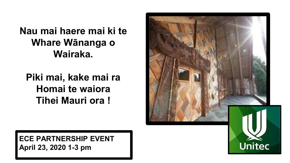**Nau mai haere mai ki te Whare Wānanga o Wairaka.**

**Piki mai, kake mai ra Homai te waiora Tihei Mauri ora !** 



**ECE PARTNERSHIP EVENT April 23, 2020 1-3 pm**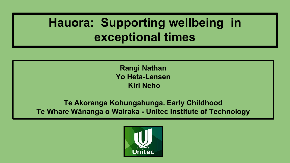# **Hauora: Supporting wellbeing in exceptional times**

**Rangi Nathan Yo Heta-Lensen Kiri Neho**

#### **Te Akoranga Kohungahunga. Early Childhood Te Whare Wānanga o Wairaka - Unitec Institute of Technology**

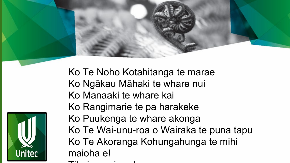

Ko Te Noho Kotahitanga te marae Ko Ngākau Māhaki te whare nui Ko Manaaki te whare kai Ko Rangimarie te pa harakeke Ko Puukenga te whare akonga Ko Te Wai-unu-roa o Wairaka te puna tapu Ko Te Akoranga Kohungahunga te mihi maioha e!

Tih i i !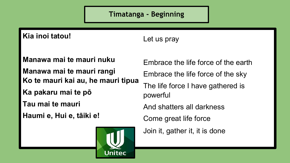**Timatanga - Beginning**

**Kia inoi tatou!**

Let us pray

**Manawa mai te mauri nuku Manawa mai te mauri rangi Ko te mauri kai au, he mauri tipua Ka pakaru mai te pō Tau mai te mauri**

**Haumi e, Hui e, tāiki e!**



Embrace the life force of the earth Embrace the life force of the sky The life force I have gathered is powerful And shatters all darkness

Come great life force

Join it, gather it, it is done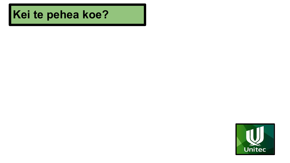## **Kei te pehea koe?**

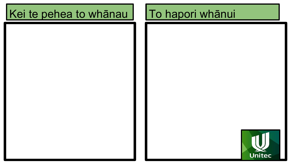## Kei te pehea to whānau

## To hapori whānui

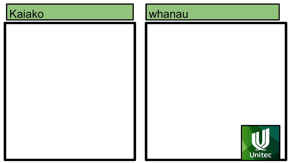# Kaiako

## whanau

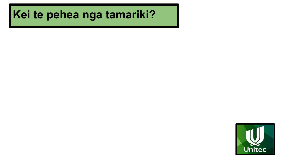## **Kei te pehea nga tamariki?**

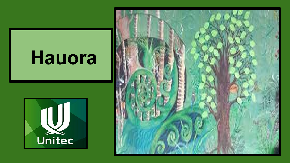# Hauora



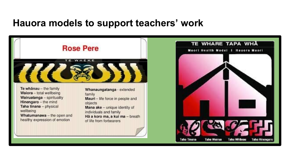### **Hauora models to support teachers' work**

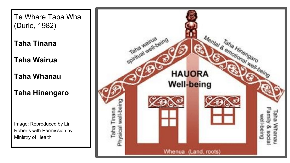Te Whare Tapa Wha (Durie, 1982)

**Taha Tinana** 

**Taha Wairua**

**Taha Whanau** 

**Taha Hinengaro**

Image: Reproduced by Lin Roberts with Permission by Ministry of Health

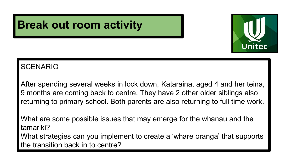

## **Break out room activity**

### **SCENARIO**

After spending several weeks in lock down, Kataraina, aged 4 and her teina, 9 months are coming back to centre. They have 2 other older siblings also returning to primary school. Both parents are also returning to full time work.

What are some possible issues that may emerge for the whanau and the tamariki? What strategies can you implement to create a 'whare oranga' that supports the transition back in to centre?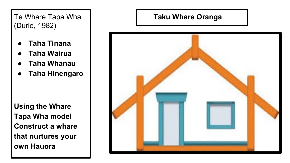### Te Whare Tapa Wha (Durie, 1982)

- **Taha Tinana**
- **Taha Wairua**
- **Taha Whanau**
- **Taha Hinengaro**

**Using the Whare Tapa Wha model Construct a whare that nurtures your own Hauora**

### **Taku Whare Oranga**

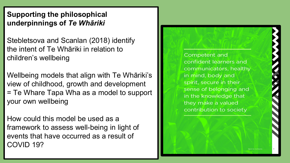### **Supporting the philosophical underpinnings of** *Te Whāriki*

Stebletsova and Scanlan (2018) identify the intent of Te Whāriki in relation to children's wellbeing

Wellbeing models that align with Te Whāriki's view of childhood, growth and development = Te Whare Tapa Wha as a model to support your own wellbeing

How could this model be used as a framework to assess well-being in light of events that have occurred as a result of COVID 19?